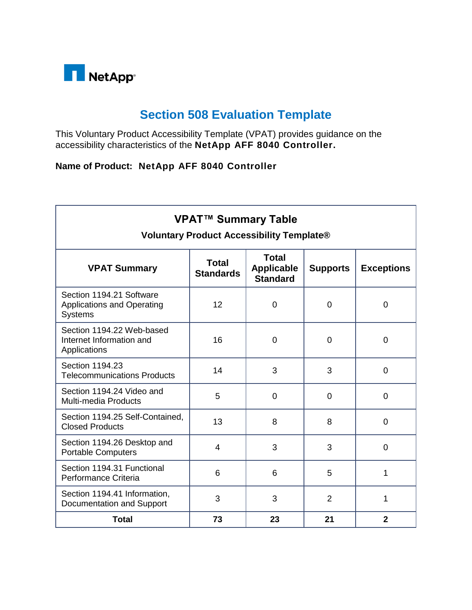

## **Section 508 Evaluation Template**

This Voluntary Product Accessibility Template (VPAT) provides guidance on the accessibility characteristics of the **NetApp AFF 8040 Controller.**

## **Name of Product: NetApp AFF 8040 Controller**

| <b>VPAT™ Summary Table</b><br><b>Voluntary Product Accessibility Template®</b>  |                                  |                                                      |                 |                   |
|---------------------------------------------------------------------------------|----------------------------------|------------------------------------------------------|-----------------|-------------------|
| <b>VPAT Summary</b>                                                             | <b>Total</b><br><b>Standards</b> | <b>Total</b><br><b>Applicable</b><br><b>Standard</b> | <b>Supports</b> | <b>Exceptions</b> |
| Section 1194.21 Software<br><b>Applications and Operating</b><br><b>Systems</b> | 12                               | $\overline{0}$                                       | $\overline{0}$  | 0                 |
| Section 1194.22 Web-based<br>Internet Information and<br>Applications           | 16                               | $\overline{0}$                                       | $\overline{0}$  | 0                 |
| Section 1194.23<br><b>Telecommunications Products</b>                           | 14                               | 3                                                    | 3               | $\overline{0}$    |
| Section 1194.24 Video and<br><b>Multi-media Products</b>                        | 5                                | $\overline{0}$                                       | $\overline{0}$  | 0                 |
| Section 1194.25 Self-Contained,<br><b>Closed Products</b>                       | 13                               | 8                                                    | 8               | 0                 |
| Section 1194.26 Desktop and<br><b>Portable Computers</b>                        | 4                                | 3                                                    | 3               | 0                 |
| Section 1194.31 Functional<br>Performance Criteria                              | 6                                | 6                                                    | 5               | 1                 |
| Section 1194.41 Information,<br>Documentation and Support                       | 3                                | 3                                                    | $\overline{2}$  | 1                 |
| <b>Total</b>                                                                    | 73                               | 23                                                   | 21              | $\overline{2}$    |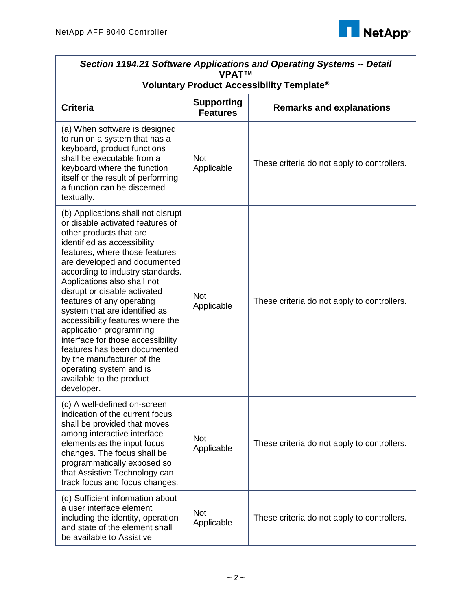

| Section 1194.21 Software Applications and Operating Systems -- Detail<br><b>VPAT™</b>                                                                                                                                                                                                                                                                                                                                                                                                                                                                                                                      |                                      |                                                       |  |
|------------------------------------------------------------------------------------------------------------------------------------------------------------------------------------------------------------------------------------------------------------------------------------------------------------------------------------------------------------------------------------------------------------------------------------------------------------------------------------------------------------------------------------------------------------------------------------------------------------|--------------------------------------|-------------------------------------------------------|--|
|                                                                                                                                                                                                                                                                                                                                                                                                                                                                                                                                                                                                            |                                      | Voluntary Product Accessibility Template <sup>®</sup> |  |
| <b>Criteria</b>                                                                                                                                                                                                                                                                                                                                                                                                                                                                                                                                                                                            | <b>Supporting</b><br><b>Features</b> | <b>Remarks and explanations</b>                       |  |
| (a) When software is designed<br>to run on a system that has a<br>keyboard, product functions<br>shall be executable from a<br>keyboard where the function<br>itself or the result of performing<br>a function can be discerned<br>textually.                                                                                                                                                                                                                                                                                                                                                              | <b>Not</b><br>Applicable             | These criteria do not apply to controllers.           |  |
| (b) Applications shall not disrupt<br>or disable activated features of<br>other products that are<br>identified as accessibility<br>features, where those features<br>are developed and documented<br>according to industry standards.<br>Applications also shall not<br>disrupt or disable activated<br>features of any operating<br>system that are identified as<br>accessibility features where the<br>application programming<br>interface for those accessibility<br>features has been documented<br>by the manufacturer of the<br>operating system and is<br>available to the product<br>developer. | <b>Not</b><br>Applicable             | These criteria do not apply to controllers.           |  |
| (c) A well-defined on-screen<br>indication of the current focus<br>shall be provided that moves<br>among interactive interface<br>elements as the input focus<br>changes. The focus shall be<br>programmatically exposed so<br>that Assistive Technology can<br>track focus and focus changes.                                                                                                                                                                                                                                                                                                             | <b>Not</b><br>Applicable             | These criteria do not apply to controllers.           |  |
| (d) Sufficient information about<br>a user interface element<br>including the identity, operation<br>and state of the element shall<br>be available to Assistive                                                                                                                                                                                                                                                                                                                                                                                                                                           | <b>Not</b><br>Applicable             | These criteria do not apply to controllers.           |  |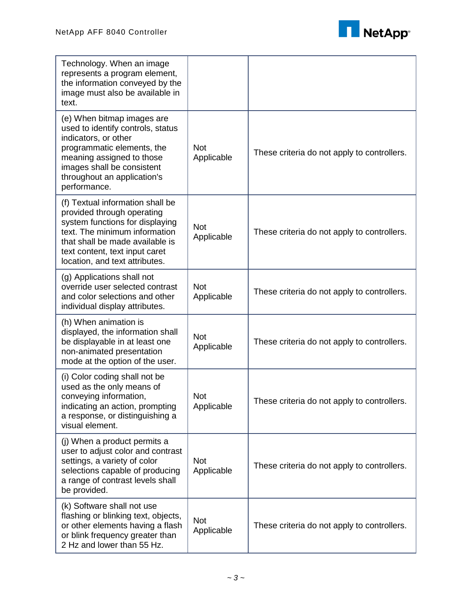

| Technology. When an image<br>represents a program element,<br>the information conveyed by the<br>image must also be available in<br>text.                                                                                                 |                          |                                             |
|-------------------------------------------------------------------------------------------------------------------------------------------------------------------------------------------------------------------------------------------|--------------------------|---------------------------------------------|
| (e) When bitmap images are<br>used to identify controls, status<br>indicators, or other<br>programmatic elements, the<br>meaning assigned to those<br>images shall be consistent<br>throughout an application's<br>performance.           | <b>Not</b><br>Applicable | These criteria do not apply to controllers. |
| (f) Textual information shall be<br>provided through operating<br>system functions for displaying<br>text. The minimum information<br>that shall be made available is<br>text content, text input caret<br>location, and text attributes. | <b>Not</b><br>Applicable | These criteria do not apply to controllers. |
| (g) Applications shall not<br>override user selected contrast<br>and color selections and other<br>individual display attributes.                                                                                                         | <b>Not</b><br>Applicable | These criteria do not apply to controllers. |
| (h) When animation is<br>displayed, the information shall<br>be displayable in at least one<br>non-animated presentation<br>mode at the option of the user.                                                                               | <b>Not</b><br>Applicable | These criteria do not apply to controllers. |
| (i) Color coding shall not be<br>used as the only means of<br>conveying information,<br>indicating an action, prompting<br>a response, or distinguishing a<br>visual element.                                                             | <b>Not</b><br>Applicable | These criteria do not apply to controllers. |
| (j) When a product permits a<br>user to adjust color and contrast<br>settings, a variety of color<br>selections capable of producing<br>a range of contrast levels shall<br>be provided.                                                  | <b>Not</b><br>Applicable | These criteria do not apply to controllers. |
| (k) Software shall not use<br>flashing or blinking text, objects,<br>or other elements having a flash<br>or blink frequency greater than<br>2 Hz and lower than 55 Hz.                                                                    | <b>Not</b><br>Applicable | These criteria do not apply to controllers. |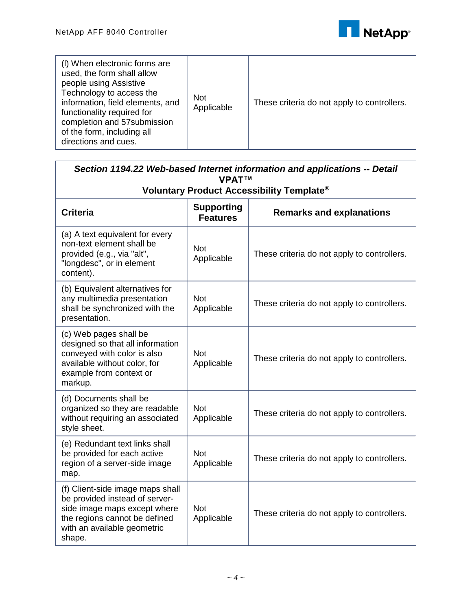

| (I) When electronic forms are<br>used, the form shall allow<br>people using Assistive<br>Technology to access the<br>information, field elements, and<br>functionality required for<br>completion and 57 submission<br>of the form, including all<br>directions and cues. | <b>Not</b><br>Applicable | These criteria do not apply to controllers. |
|---------------------------------------------------------------------------------------------------------------------------------------------------------------------------------------------------------------------------------------------------------------------------|--------------------------|---------------------------------------------|
|---------------------------------------------------------------------------------------------------------------------------------------------------------------------------------------------------------------------------------------------------------------------------|--------------------------|---------------------------------------------|

| Section 1194.22 Web-based Internet information and applications -- Detail<br><b>VPAT<sub>TM</sub></b><br>Voluntary Product Accessibility Template <sup>®</sup>               |                                      |                                             |  |
|------------------------------------------------------------------------------------------------------------------------------------------------------------------------------|--------------------------------------|---------------------------------------------|--|
| <b>Criteria</b>                                                                                                                                                              | <b>Supporting</b><br><b>Features</b> | <b>Remarks and explanations</b>             |  |
| (a) A text equivalent for every<br>non-text element shall be<br>provided (e.g., via "alt",<br>"longdesc", or in element<br>content).                                         | <b>Not</b><br>Applicable             | These criteria do not apply to controllers. |  |
| (b) Equivalent alternatives for<br>any multimedia presentation<br>shall be synchronized with the<br>presentation.                                                            | <b>Not</b><br>Applicable             | These criteria do not apply to controllers. |  |
| (c) Web pages shall be<br>designed so that all information<br>conveyed with color is also<br>available without color, for<br>example from context or<br>markup.              | <b>Not</b><br>Applicable             | These criteria do not apply to controllers. |  |
| (d) Documents shall be<br>organized so they are readable<br>without requiring an associated<br>style sheet.                                                                  | <b>Not</b><br>Applicable             | These criteria do not apply to controllers. |  |
| (e) Redundant text links shall<br>be provided for each active<br>region of a server-side image<br>map.                                                                       | <b>Not</b><br>Applicable             | These criteria do not apply to controllers. |  |
| (f) Client-side image maps shall<br>be provided instead of server-<br>side image maps except where<br>the regions cannot be defined<br>with an available geometric<br>shape. | <b>Not</b><br>Applicable             | These criteria do not apply to controllers. |  |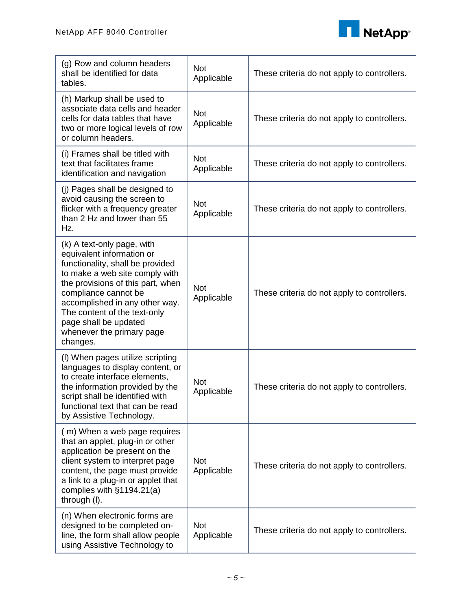

| (g) Row and column headers<br>shall be identified for data<br>tables.                                                                                                                                                                                                                                                          | <b>Not</b><br>Applicable | These criteria do not apply to controllers. |
|--------------------------------------------------------------------------------------------------------------------------------------------------------------------------------------------------------------------------------------------------------------------------------------------------------------------------------|--------------------------|---------------------------------------------|
| (h) Markup shall be used to<br>associate data cells and header<br>cells for data tables that have<br>two or more logical levels of row<br>or column headers.                                                                                                                                                                   | <b>Not</b><br>Applicable | These criteria do not apply to controllers. |
| (i) Frames shall be titled with<br>text that facilitates frame<br>identification and navigation                                                                                                                                                                                                                                | <b>Not</b><br>Applicable | These criteria do not apply to controllers. |
| (j) Pages shall be designed to<br>avoid causing the screen to<br>flicker with a frequency greater<br>than 2 Hz and lower than 55<br>Hz.                                                                                                                                                                                        | <b>Not</b><br>Applicable | These criteria do not apply to controllers. |
| (k) A text-only page, with<br>equivalent information or<br>functionality, shall be provided<br>to make a web site comply with<br>the provisions of this part, when<br>compliance cannot be<br>accomplished in any other way.<br>The content of the text-only<br>page shall be updated<br>whenever the primary page<br>changes. | <b>Not</b><br>Applicable | These criteria do not apply to controllers. |
| (I) When pages utilize scripting<br>languages to display content, or<br>to create interface elements,<br>the information provided by the<br>script shall be identified with<br>functional text that can be read<br>by Assistive Technology.                                                                                    | <b>Not</b><br>Applicable | These criteria do not apply to controllers. |
| (m) When a web page requires<br>that an applet, plug-in or other<br>application be present on the<br>client system to interpret page<br>content, the page must provide<br>a link to a plug-in or applet that<br>complies with §1194.21(a)<br>through (I).                                                                      | <b>Not</b><br>Applicable | These criteria do not apply to controllers. |
| (n) When electronic forms are<br>designed to be completed on-<br>line, the form shall allow people<br>using Assistive Technology to                                                                                                                                                                                            | <b>Not</b><br>Applicable | These criteria do not apply to controllers. |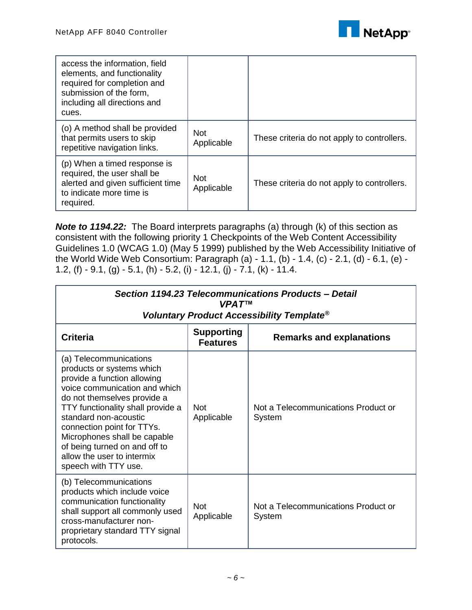

| access the information, field<br>elements, and functionality<br>required for completion and<br>submission of the form,<br>including all directions and<br>cues. |                          |                                             |
|-----------------------------------------------------------------------------------------------------------------------------------------------------------------|--------------------------|---------------------------------------------|
| (o) A method shall be provided<br>that permits users to skip<br>repetitive navigation links.                                                                    | <b>Not</b><br>Applicable | These criteria do not apply to controllers. |
| (p) When a timed response is<br>required, the user shall be<br>alerted and given sufficient time<br>to indicate more time is<br>required.                       | <b>Not</b><br>Applicable | These criteria do not apply to controllers. |

*Note to 1194.22:* The Board interprets paragraphs (a) through (k) of this section as consistent with the following priority 1 Checkpoints of the Web Content Accessibility Guidelines 1.0 (WCAG 1.0) (May 5 1999) published by the Web Accessibility Initiative of the World Wide Web Consortium: Paragraph (a) - 1.1, (b) - 1.4, (c) - 2.1, (d) - 6.1, (e) - 1.2, (f)  $-9.1$ , (g)  $-5.1$ , (h)  $-5.2$ , (i)  $-12.1$ , (j)  $-7.1$ , (k)  $-11.4$ .

| Section 1194.23 Telecommunications Products - Detail<br>VPAT™<br>Voluntary Product Accessibility Template <sup>®</sup>                                                                                                                                                                                                                                                |                                      |                                               |  |
|-----------------------------------------------------------------------------------------------------------------------------------------------------------------------------------------------------------------------------------------------------------------------------------------------------------------------------------------------------------------------|--------------------------------------|-----------------------------------------------|--|
| <b>Criteria</b>                                                                                                                                                                                                                                                                                                                                                       | <b>Supporting</b><br><b>Features</b> | <b>Remarks and explanations</b>               |  |
| (a) Telecommunications<br>products or systems which<br>provide a function allowing<br>voice communication and which<br>do not themselves provide a<br>TTY functionality shall provide a<br>standard non-acoustic<br>connection point for TTYs.<br>Microphones shall be capable<br>of being turned on and off to<br>allow the user to intermix<br>speech with TTY use. | <b>Not</b><br>Applicable             | Not a Telecommunications Product or<br>System |  |
| (b) Telecommunications<br>products which include voice<br>communication functionality<br>shall support all commonly used<br>cross-manufacturer non-<br>proprietary standard TTY signal<br>protocols.                                                                                                                                                                  | <b>Not</b><br>Applicable             | Not a Telecommunications Product or<br>System |  |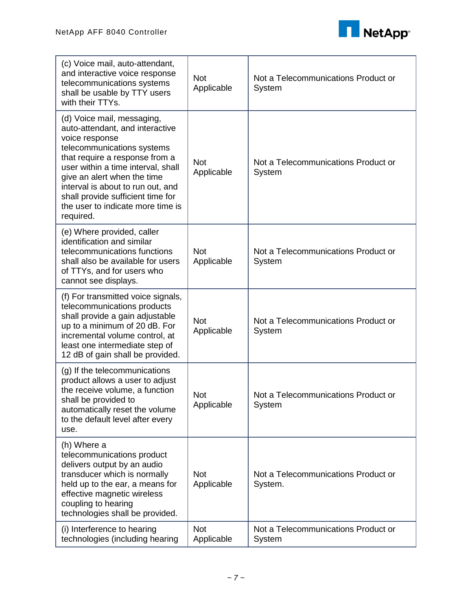

| (c) Voice mail, auto-attendant,<br>and interactive voice response<br>telecommunications systems<br>shall be usable by TTY users<br>with their TTYs.                                                                                                                                                                                              | <b>Not</b><br>Applicable | Not a Telecommunications Product or<br>System  |
|--------------------------------------------------------------------------------------------------------------------------------------------------------------------------------------------------------------------------------------------------------------------------------------------------------------------------------------------------|--------------------------|------------------------------------------------|
| (d) Voice mail, messaging,<br>auto-attendant, and interactive<br>voice response<br>telecommunications systems<br>that require a response from a<br>user within a time interval, shall<br>give an alert when the time<br>interval is about to run out, and<br>shall provide sufficient time for<br>the user to indicate more time is<br>required. | <b>Not</b><br>Applicable | Not a Telecommunications Product or<br>System  |
| (e) Where provided, caller<br>identification and similar<br>telecommunications functions<br>shall also be available for users<br>of TTYs, and for users who<br>cannot see displays.                                                                                                                                                              | <b>Not</b><br>Applicable | Not a Telecommunications Product or<br>System  |
| (f) For transmitted voice signals,<br>telecommunications products<br>shall provide a gain adjustable<br>up to a minimum of 20 dB. For<br>incremental volume control, at<br>least one intermediate step of<br>12 dB of gain shall be provided.                                                                                                    | <b>Not</b><br>Applicable | Not a Telecommunications Product or<br>System  |
| (g) If the telecommunications<br>product allows a user to adjust<br>the receive volume, a function<br>shall be provided to<br>automatically reset the volume<br>to the default level after every<br>use.                                                                                                                                         | <b>Not</b><br>Applicable | Not a Telecommunications Product or<br>System  |
| (h) Where a<br>telecommunications product<br>delivers output by an audio<br>transducer which is normally<br>held up to the ear, a means for<br>effective magnetic wireless<br>coupling to hearing<br>technologies shall be provided.                                                                                                             | <b>Not</b><br>Applicable | Not a Telecommunications Product or<br>System. |
| (i) Interference to hearing<br>technologies (including hearing                                                                                                                                                                                                                                                                                   | <b>Not</b><br>Applicable | Not a Telecommunications Product or<br>System  |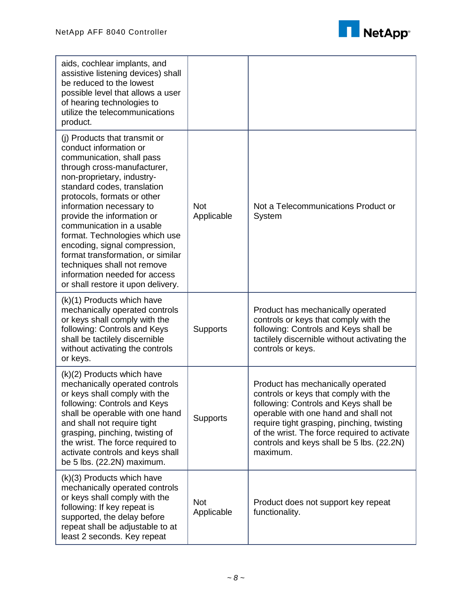

| aids, cochlear implants, and<br>assistive listening devices) shall<br>be reduced to the lowest<br>possible level that allows a user<br>of hearing technologies to<br>utilize the telecommunications<br>product.                                                                                                                                                                                                                                                                                                      |                          |                                                                                                                                                                                                                                                                                                                    |
|----------------------------------------------------------------------------------------------------------------------------------------------------------------------------------------------------------------------------------------------------------------------------------------------------------------------------------------------------------------------------------------------------------------------------------------------------------------------------------------------------------------------|--------------------------|--------------------------------------------------------------------------------------------------------------------------------------------------------------------------------------------------------------------------------------------------------------------------------------------------------------------|
| (j) Products that transmit or<br>conduct information or<br>communication, shall pass<br>through cross-manufacturer,<br>non-proprietary, industry-<br>standard codes, translation<br>protocols, formats or other<br>information necessary to<br>provide the information or<br>communication in a usable<br>format. Technologies which use<br>encoding, signal compression,<br>format transformation, or similar<br>techniques shall not remove<br>information needed for access<br>or shall restore it upon delivery. | <b>Not</b><br>Applicable | Not a Telecommunications Product or<br>System                                                                                                                                                                                                                                                                      |
| (k)(1) Products which have<br>mechanically operated controls<br>or keys shall comply with the<br>following: Controls and Keys<br>shall be tactilely discernible<br>without activating the controls<br>or keys.                                                                                                                                                                                                                                                                                                       | Supports                 | Product has mechanically operated<br>controls or keys that comply with the<br>following: Controls and Keys shall be<br>tactilely discernible without activating the<br>controls or keys.                                                                                                                           |
| (k)(2) Products which have<br>mechanically operated controls<br>or keys shall comply with the<br>following: Controls and Keys<br>shall be operable with one hand<br>and shall not require tight<br>grasping, pinching, twisting of<br>the wrist. The force required to<br>activate controls and keys shall<br>be 5 lbs. (22.2N) maximum.                                                                                                                                                                             | <b>Supports</b>          | Product has mechanically operated<br>controls or keys that comply with the<br>following: Controls and Keys shall be<br>operable with one hand and shall not<br>require tight grasping, pinching, twisting<br>of the wrist. The force required to activate<br>controls and keys shall be 5 lbs. (22.2N)<br>maximum. |
| (k)(3) Products which have<br>mechanically operated controls<br>or keys shall comply with the<br>following: If key repeat is<br>supported, the delay before<br>repeat shall be adjustable to at<br>least 2 seconds. Key repeat                                                                                                                                                                                                                                                                                       | <b>Not</b><br>Applicable | Product does not support key repeat<br>functionality.                                                                                                                                                                                                                                                              |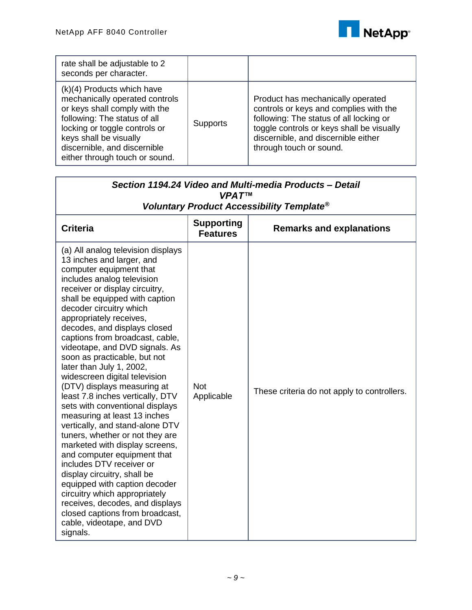

| rate shall be adjustable to 2<br>seconds per character.                                                                                                                                                                                                      |                 |                                                                                                                                                                                                                                       |
|--------------------------------------------------------------------------------------------------------------------------------------------------------------------------------------------------------------------------------------------------------------|-----------------|---------------------------------------------------------------------------------------------------------------------------------------------------------------------------------------------------------------------------------------|
| $(k)(4)$ Products which have<br>mechanically operated controls<br>or keys shall comply with the<br>following: The status of all<br>locking or toggle controls or<br>keys shall be visually<br>discernible, and discernible<br>either through touch or sound. | <b>Supports</b> | Product has mechanically operated<br>controls or keys and complies with the<br>following: The status of all locking or<br>toggle controls or keys shall be visually<br>discernible, and discernible either<br>through touch or sound. |

| Section 1194.24 Video and Multi-media Products - Detail<br><b>VPAT™</b>                                                                                                                                                                                                                                                                                                                                                                                                                                                                                                                                                                                                                                                                                                                                                                                                                                                                                                       |                                      |                                                       |  |
|-------------------------------------------------------------------------------------------------------------------------------------------------------------------------------------------------------------------------------------------------------------------------------------------------------------------------------------------------------------------------------------------------------------------------------------------------------------------------------------------------------------------------------------------------------------------------------------------------------------------------------------------------------------------------------------------------------------------------------------------------------------------------------------------------------------------------------------------------------------------------------------------------------------------------------------------------------------------------------|--------------------------------------|-------------------------------------------------------|--|
|                                                                                                                                                                                                                                                                                                                                                                                                                                                                                                                                                                                                                                                                                                                                                                                                                                                                                                                                                                               |                                      | Voluntary Product Accessibility Template <sup>®</sup> |  |
| <b>Criteria</b>                                                                                                                                                                                                                                                                                                                                                                                                                                                                                                                                                                                                                                                                                                                                                                                                                                                                                                                                                               | <b>Supporting</b><br><b>Features</b> | <b>Remarks and explanations</b>                       |  |
| (a) All analog television displays<br>13 inches and larger, and<br>computer equipment that<br>includes analog television<br>receiver or display circuitry,<br>shall be equipped with caption<br>decoder circuitry which<br>appropriately receives,<br>decodes, and displays closed<br>captions from broadcast, cable,<br>videotape, and DVD signals. As<br>soon as practicable, but not<br>later than July 1, 2002,<br>widescreen digital television<br>(DTV) displays measuring at<br>least 7.8 inches vertically, DTV<br>sets with conventional displays<br>measuring at least 13 inches<br>vertically, and stand-alone DTV<br>tuners, whether or not they are<br>marketed with display screens,<br>and computer equipment that<br>includes DTV receiver or<br>display circuitry, shall be<br>equipped with caption decoder<br>circuitry which appropriately<br>receives, decodes, and displays<br>closed captions from broadcast,<br>cable, videotape, and DVD<br>signals. | <b>Not</b><br>Applicable             | These criteria do not apply to controllers.           |  |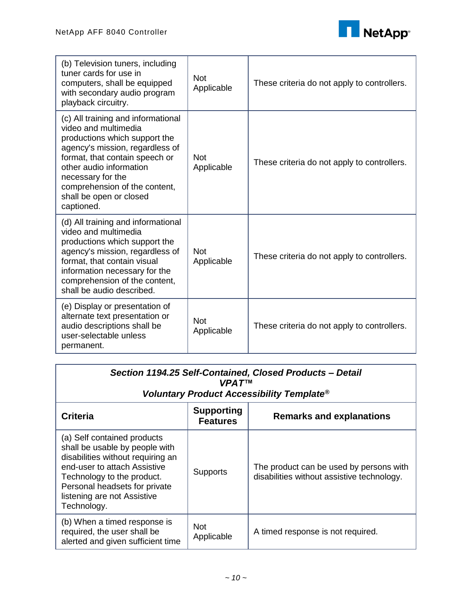

| (b) Television tuners, including<br>tuner cards for use in<br>computers, shall be equipped<br>with secondary audio program<br>playback circuitry.                                                                                                                                          | <b>Not</b><br>Applicable | These criteria do not apply to controllers. |
|--------------------------------------------------------------------------------------------------------------------------------------------------------------------------------------------------------------------------------------------------------------------------------------------|--------------------------|---------------------------------------------|
| (c) All training and informational<br>video and multimedia<br>productions which support the<br>agency's mission, regardless of<br>format, that contain speech or<br>other audio information<br>necessary for the<br>comprehension of the content,<br>shall be open or closed<br>captioned. | Not<br>Applicable        | These criteria do not apply to controllers. |
| (d) All training and informational<br>video and multimedia<br>productions which support the<br>agency's mission, regardless of<br>format, that contain visual<br>information necessary for the<br>comprehension of the content,<br>shall be audio described.                               | Not<br>Applicable        | These criteria do not apply to controllers. |
| (e) Display or presentation of<br>alternate text presentation or<br>audio descriptions shall be<br>user-selectable unless<br>permanent.                                                                                                                                                    | <b>Not</b><br>Applicable | These criteria do not apply to controllers. |

| Section 1194.25 Self-Contained, Closed Products - Detail<br>VPAT™<br>Voluntary Product Accessibility Template <sup>®</sup>                                                                                                                      |                                      |                                                                                       |
|-------------------------------------------------------------------------------------------------------------------------------------------------------------------------------------------------------------------------------------------------|--------------------------------------|---------------------------------------------------------------------------------------|
| <b>Criteria</b>                                                                                                                                                                                                                                 | <b>Supporting</b><br><b>Features</b> | <b>Remarks and explanations</b>                                                       |
| (a) Self contained products<br>shall be usable by people with<br>disabilities without requiring an<br>end-user to attach Assistive<br>Technology to the product.<br>Personal headsets for private<br>listening are not Assistive<br>Technology. | Supports                             | The product can be used by persons with<br>disabilities without assistive technology. |
| (b) When a timed response is<br>required, the user shall be<br>alerted and given sufficient time                                                                                                                                                | <b>Not</b><br>Applicable             | A timed response is not required.                                                     |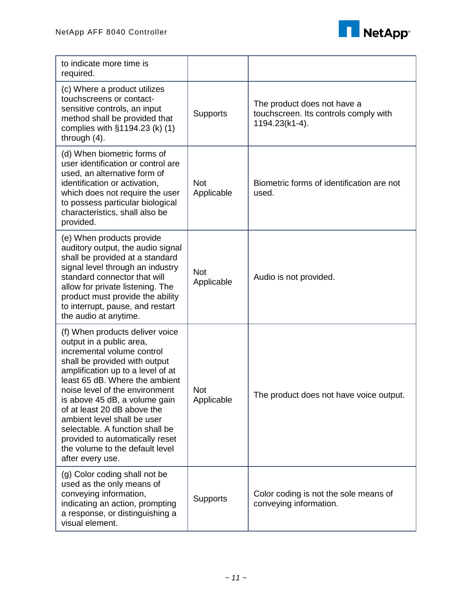

| to indicate more time is<br>required.                                                                                                                                                                                                                                                                                                                                                                                                                           |                          |                                                                                        |
|-----------------------------------------------------------------------------------------------------------------------------------------------------------------------------------------------------------------------------------------------------------------------------------------------------------------------------------------------------------------------------------------------------------------------------------------------------------------|--------------------------|----------------------------------------------------------------------------------------|
| (c) Where a product utilizes<br>touchscreens or contact-<br>sensitive controls, an input<br>method shall be provided that<br>complies with §1194.23 (k) (1)<br>through $(4)$ .                                                                                                                                                                                                                                                                                  | Supports                 | The product does not have a<br>touchscreen. Its controls comply with<br>1194.23(k1-4). |
| (d) When biometric forms of<br>user identification or control are<br>used, an alternative form of<br>identification or activation,<br>which does not require the user<br>to possess particular biological<br>characteristics, shall also be<br>provided.                                                                                                                                                                                                        | <b>Not</b><br>Applicable | Biometric forms of identification are not<br>used.                                     |
| (e) When products provide<br>auditory output, the audio signal<br>shall be provided at a standard<br>signal level through an industry<br>standard connector that will<br>allow for private listening. The<br>product must provide the ability<br>to interrupt, pause, and restart<br>the audio at anytime.                                                                                                                                                      | <b>Not</b><br>Applicable | Audio is not provided.                                                                 |
| (f) When products deliver voice<br>output in a public area,<br>incremental volume control<br>shall be provided with output<br>amplification up to a level of at<br>least 65 dB. Where the ambient<br>noise level of the environment<br>is above 45 dB, a volume gain<br>of at least 20 dB above the<br>ambient level shall be user<br>selectable. A function shall be<br>provided to automatically reset<br>the volume to the default level<br>after every use. | <b>Not</b><br>Applicable | The product does not have voice output.                                                |
| (g) Color coding shall not be<br>used as the only means of<br>conveying information,<br>indicating an action, prompting<br>a response, or distinguishing a<br>visual element.                                                                                                                                                                                                                                                                                   | <b>Supports</b>          | Color coding is not the sole means of<br>conveying information.                        |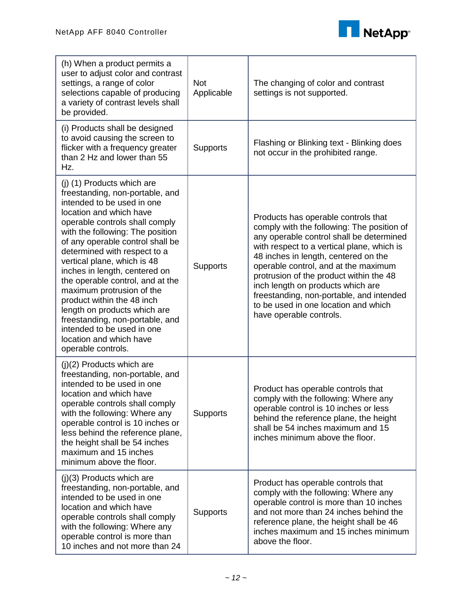

| (h) When a product permits a<br>user to adjust color and contrast<br>settings, a range of color<br>selections capable of producing<br>a variety of contrast levels shall<br>be provided.                                                                                                                                                                                                                                                                                                                                                                                          | <b>Not</b><br>Applicable | The changing of color and contrast<br>settings is not supported.                                                                                                                                                                                                                                                                                                                                                                                           |
|-----------------------------------------------------------------------------------------------------------------------------------------------------------------------------------------------------------------------------------------------------------------------------------------------------------------------------------------------------------------------------------------------------------------------------------------------------------------------------------------------------------------------------------------------------------------------------------|--------------------------|------------------------------------------------------------------------------------------------------------------------------------------------------------------------------------------------------------------------------------------------------------------------------------------------------------------------------------------------------------------------------------------------------------------------------------------------------------|
| (i) Products shall be designed<br>to avoid causing the screen to<br>flicker with a frequency greater<br>than 2 Hz and lower than 55<br>Hz.                                                                                                                                                                                                                                                                                                                                                                                                                                        | <b>Supports</b>          | Flashing or Blinking text - Blinking does<br>not occur in the prohibited range.                                                                                                                                                                                                                                                                                                                                                                            |
| (j) (1) Products which are<br>freestanding, non-portable, and<br>intended to be used in one<br>location and which have<br>operable controls shall comply<br>with the following: The position<br>of any operable control shall be<br>determined with respect to a<br>vertical plane, which is 48<br>inches in length, centered on<br>the operable control, and at the<br>maximum protrusion of the<br>product within the 48 inch<br>length on products which are<br>freestanding, non-portable, and<br>intended to be used in one<br>location and which have<br>operable controls. | <b>Supports</b>          | Products has operable controls that<br>comply with the following: The position of<br>any operable control shall be determined<br>with respect to a vertical plane, which is<br>48 inches in length, centered on the<br>operable control, and at the maximum<br>protrusion of the product within the 48<br>inch length on products which are<br>freestanding, non-portable, and intended<br>to be used in one location and which<br>have operable controls. |
| $(j)(2)$ Products which are<br>freestanding, non-portable, and<br>intended to be used in one<br>location and which have<br>operable controls shall comply<br>with the following: Where any<br>operable control is 10 inches or<br>less behind the reference plane,<br>the height shall be 54 inches<br>maximum and 15 inches<br>minimum above the floor.                                                                                                                                                                                                                          | <b>Supports</b>          | Product has operable controls that<br>comply with the following: Where any<br>operable control is 10 inches or less<br>behind the reference plane, the height<br>shall be 54 inches maximum and 15<br>inches minimum above the floor.                                                                                                                                                                                                                      |
| $(j)(3)$ Products which are<br>freestanding, non-portable, and<br>intended to be used in one<br>location and which have<br>operable controls shall comply<br>with the following: Where any<br>operable control is more than<br>10 inches and not more than 24                                                                                                                                                                                                                                                                                                                     | Supports                 | Product has operable controls that<br>comply with the following: Where any<br>operable control is more than 10 inches<br>and not more than 24 inches behind the<br>reference plane, the height shall be 46<br>inches maximum and 15 inches minimum<br>above the floor.                                                                                                                                                                                     |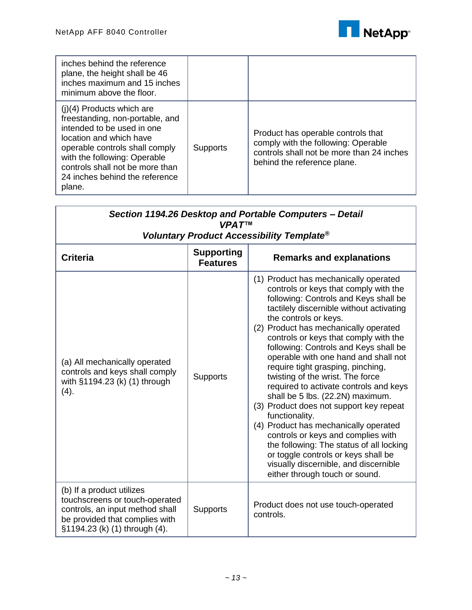

| inches behind the reference<br>plane, the height shall be 46<br>inches maximum and 15 inches<br>minimum above the floor.                                                                                                                                                 |          |                                                                                                                                                       |
|--------------------------------------------------------------------------------------------------------------------------------------------------------------------------------------------------------------------------------------------------------------------------|----------|-------------------------------------------------------------------------------------------------------------------------------------------------------|
| $(i)(4)$ Products which are<br>freestanding, non-portable, and<br>intended to be used in one<br>location and which have<br>operable controls shall comply<br>with the following: Operable<br>controls shall not be more than<br>24 inches behind the reference<br>plane. | Supports | Product has operable controls that<br>comply with the following: Operable<br>controls shall not be more than 24 inches<br>behind the reference plane. |

| Section 1194.26 Desktop and Portable Computers - Detail<br><b>VPAT™</b><br><b>Voluntary Product Accessibility Template<sup>®</sup></b>                            |                 |                                                                                                                                                                                                                                                                                                                                                                                                                                                                                                                                                                                                                                                                                                                                                                                                                                  |
|-------------------------------------------------------------------------------------------------------------------------------------------------------------------|-----------------|----------------------------------------------------------------------------------------------------------------------------------------------------------------------------------------------------------------------------------------------------------------------------------------------------------------------------------------------------------------------------------------------------------------------------------------------------------------------------------------------------------------------------------------------------------------------------------------------------------------------------------------------------------------------------------------------------------------------------------------------------------------------------------------------------------------------------------|
|                                                                                                                                                                   |                 |                                                                                                                                                                                                                                                                                                                                                                                                                                                                                                                                                                                                                                                                                                                                                                                                                                  |
| (a) All mechanically operated<br>controls and keys shall comply<br>with §1194.23 (k) (1) through<br>(4).                                                          | <b>Supports</b> | (1) Product has mechanically operated<br>controls or keys that comply with the<br>following: Controls and Keys shall be<br>tactilely discernible without activating<br>the controls or keys.<br>(2) Product has mechanically operated<br>controls or keys that comply with the<br>following: Controls and Keys shall be<br>operable with one hand and shall not<br>require tight grasping, pinching,<br>twisting of the wrist. The force<br>required to activate controls and keys<br>shall be 5 lbs. (22.2N) maximum.<br>(3) Product does not support key repeat<br>functionality.<br>(4) Product has mechanically operated<br>controls or keys and complies with<br>the following: The status of all locking<br>or toggle controls or keys shall be<br>visually discernible, and discernible<br>either through touch or sound. |
| (b) If a product utilizes<br>touchscreens or touch-operated<br>controls, an input method shall<br>be provided that complies with<br>§1194.23 (k) (1) through (4). | <b>Supports</b> | Product does not use touch-operated<br>controls.                                                                                                                                                                                                                                                                                                                                                                                                                                                                                                                                                                                                                                                                                                                                                                                 |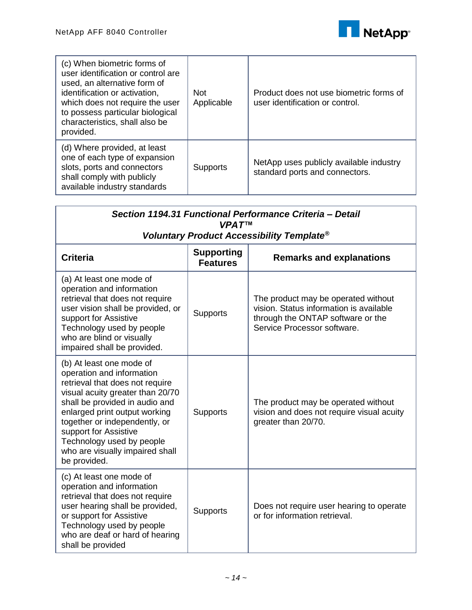

| (c) When biometric forms of<br>user identification or control are<br>used, an alternative form of<br>identification or activation,<br>which does not require the user<br>to possess particular biological<br>characteristics, shall also be<br>provided. | <b>Not</b><br>Applicable | Product does not use biometric forms of<br>user identification or control. |
|----------------------------------------------------------------------------------------------------------------------------------------------------------------------------------------------------------------------------------------------------------|--------------------------|----------------------------------------------------------------------------|
| (d) Where provided, at least<br>one of each type of expansion<br>slots, ports and connectors<br>shall comply with publicly<br>available industry standards                                                                                               | <b>Supports</b>          | NetApp uses publicly available industry<br>standard ports and connectors.  |

| Section 1194.31 Functional Performance Criteria - Detail<br><b>VPAT<sup>IM</sup></b>                                                                                                                                                                                                                                                      |                                      |                                                                                                                                                    |
|-------------------------------------------------------------------------------------------------------------------------------------------------------------------------------------------------------------------------------------------------------------------------------------------------------------------------------------------|--------------------------------------|----------------------------------------------------------------------------------------------------------------------------------------------------|
| Voluntary Product Accessibility Template <sup>®</sup>                                                                                                                                                                                                                                                                                     |                                      |                                                                                                                                                    |
| <b>Criteria</b>                                                                                                                                                                                                                                                                                                                           | <b>Supporting</b><br><b>Features</b> | <b>Remarks and explanations</b>                                                                                                                    |
| (a) At least one mode of<br>operation and information<br>retrieval that does not require<br>user vision shall be provided, or<br>support for Assistive<br>Technology used by people<br>who are blind or visually<br>impaired shall be provided.                                                                                           | <b>Supports</b>                      | The product may be operated without<br>vision. Status information is available<br>through the ONTAP software or the<br>Service Processor software. |
| (b) At least one mode of<br>operation and information<br>retrieval that does not require<br>visual acuity greater than 20/70<br>shall be provided in audio and<br>enlarged print output working<br>together or independently, or<br>support for Assistive<br>Technology used by people<br>who are visually impaired shall<br>be provided. | Supports                             | The product may be operated without<br>vision and does not require visual acuity<br>greater than 20/70.                                            |
| (c) At least one mode of<br>operation and information<br>retrieval that does not require<br>user hearing shall be provided,<br>or support for Assistive<br>Technology used by people<br>who are deaf or hard of hearing<br>shall be provided                                                                                              | <b>Supports</b>                      | Does not require user hearing to operate<br>or for information retrieval.                                                                          |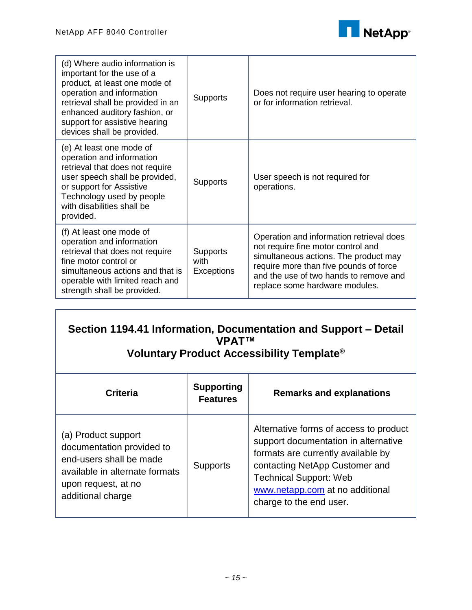Г



| (d) Where audio information is<br>important for the use of a<br>product, at least one mode of<br>operation and information<br>retrieval shall be provided in an<br>enhanced auditory fashion, or<br>support for assistive hearing<br>devices shall be provided. | Supports                       | Does not require user hearing to operate<br>or for information retrieval.                                                                                                                                                                     |
|-----------------------------------------------------------------------------------------------------------------------------------------------------------------------------------------------------------------------------------------------------------------|--------------------------------|-----------------------------------------------------------------------------------------------------------------------------------------------------------------------------------------------------------------------------------------------|
| (e) At least one mode of<br>operation and information<br>retrieval that does not require<br>user speech shall be provided,<br>or support for Assistive<br>Technology used by people<br>with disabilities shall be<br>provided.                                  | Supports                       | User speech is not required for<br>operations.                                                                                                                                                                                                |
| (f) At least one mode of<br>operation and information<br>retrieval that does not require<br>fine motor control or<br>simultaneous actions and that is<br>operable with limited reach and<br>strength shall be provided.                                         | Supports<br>with<br>Exceptions | Operation and information retrieval does<br>not require fine motor control and<br>simultaneous actions. The product may<br>require more than five pounds of force<br>and the use of two hands to remove and<br>replace some hardware modules. |

| Section 1194.41 Information, Documentation and Support – Detail<br>VPAT™<br>Voluntary Product Accessibility Template <sup>®</sup>                         |                                      |                                                                                                                                                                                                                                                       |
|-----------------------------------------------------------------------------------------------------------------------------------------------------------|--------------------------------------|-------------------------------------------------------------------------------------------------------------------------------------------------------------------------------------------------------------------------------------------------------|
| <b>Criteria</b>                                                                                                                                           | <b>Supporting</b><br><b>Features</b> | <b>Remarks and explanations</b>                                                                                                                                                                                                                       |
| (a) Product support<br>documentation provided to<br>end-users shall be made<br>available in alternate formats<br>upon request, at no<br>additional charge | <b>Supports</b>                      | Alternative forms of access to product<br>support documentation in alternative<br>formats are currently available by<br>contacting NetApp Customer and<br><b>Technical Support: Web</b><br>www.netapp.com at no additional<br>charge to the end user. |